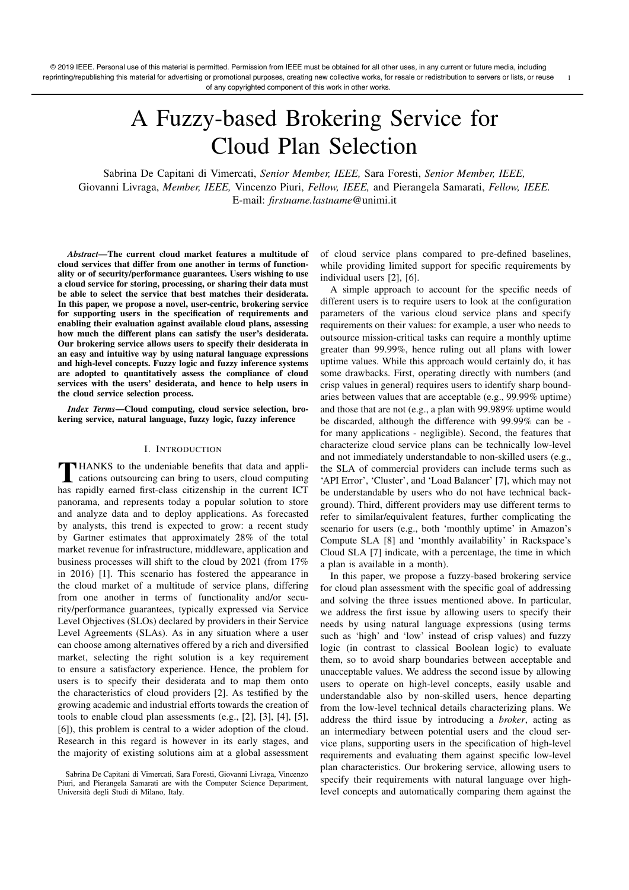# A Fuzzy-based Brokering Service for Cloud Plan Selection

Sabrina De Capitani di Vimercati, *Senior Member, IEEE,* Sara Foresti, *Senior Member, IEEE,* Giovanni Livraga, *Member, IEEE,* Vincenzo Piuri, *Fellow, IEEE,* and Pierangela Samarati, *Fellow, IEEE.* E-mail: *firstname.lastname*@unimi.it

*Abstract*—The current cloud market features a multitude of cloud services that differ from one another in terms of functionality or of security/performance guarantees. Users wishing to use a cloud service for storing, processing, or sharing their data must be able to select the service that best matches their desiderata. In this paper, we propose a novel, user-centric, brokering service for supporting users in the specification of requirements and enabling their evaluation against available cloud plans, assessing how much the different plans can satisfy the user's desiderata. Our brokering service allows users to specify their desiderata in an easy and intuitive way by using natural language expressions and high-level concepts. Fuzzy logic and fuzzy inference systems are adopted to quantitatively assess the compliance of cloud services with the users' desiderata, and hence to help users in the cloud service selection process.

*Index Terms*—Cloud computing, cloud service selection, brokering service, natural language, fuzzy logic, fuzzy inference

#### I. INTRODUCTION

T HANKS to the undeniable benefits that data and appli-<br>cations outsourcing can bring to users, cloud computing<br>the presiding the contribution is the comput ICT has rapidly earned first-class citizenship in the current ICT panorama, and represents today a popular solution to store and analyze data and to deploy applications. As forecasted by analysts, this trend is expected to grow: a recent study by Gartner estimates that approximately 28% of the total market revenue for infrastructure, middleware, application and business processes will shift to the cloud by 2021 (from 17% in 2016) [1]. This scenario has fostered the appearance in the cloud market of a multitude of service plans, differing from one another in terms of functionality and/or security/performance guarantees, typically expressed via Service Level Objectives (SLOs) declared by providers in their Service Level Agreements (SLAs). As in any situation where a user can choose among alternatives offered by a rich and diversified market, selecting the right solution is a key requirement to ensure a satisfactory experience. Hence, the problem for users is to specify their desiderata and to map them onto the characteristics of cloud providers [2]. As testified by the growing academic and industrial efforts towards the creation of tools to enable cloud plan assessments (e.g., [2], [3], [4], [5], [6]), this problem is central to a wider adoption of the cloud. Research in this regard is however in its early stages, and the majority of existing solutions aim at a global assessment

of cloud service plans compared to pre-defined baselines, while providing limited support for specific requirements by individual users [2], [6].

A simple approach to account for the specific needs of different users is to require users to look at the configuration parameters of the various cloud service plans and specify requirements on their values: for example, a user who needs to outsource mission-critical tasks can require a monthly uptime greater than 99.99%, hence ruling out all plans with lower uptime values. While this approach would certainly do, it has some drawbacks. First, operating directly with numbers (and crisp values in general) requires users to identify sharp boundaries between values that are acceptable (e.g., 99.99% uptime) and those that are not (e.g., a plan with 99.989% uptime would be discarded, although the difference with 99.99% can be for many applications - negligible). Second, the features that characterize cloud service plans can be technically low-level and not immediately understandable to non-skilled users (e.g., the SLA of commercial providers can include terms such as 'API Error', 'Cluster', and 'Load Balancer' [7], which may not be understandable by users who do not have technical background). Third, different providers may use different terms to refer to similar/equivalent features, further complicating the scenario for users (e.g., both 'monthly uptime' in Amazon's Compute SLA [8] and 'monthly availability' in Rackspace's Cloud SLA [7] indicate, with a percentage, the time in which a plan is available in a month).

In this paper, we propose a fuzzy-based brokering service for cloud plan assessment with the specific goal of addressing and solving the three issues mentioned above. In particular, we address the first issue by allowing users to specify their needs by using natural language expressions (using terms such as 'high' and 'low' instead of crisp values) and fuzzy logic (in contrast to classical Boolean logic) to evaluate them, so to avoid sharp boundaries between acceptable and unacceptable values. We address the second issue by allowing users to operate on high-level concepts, easily usable and understandable also by non-skilled users, hence departing from the low-level technical details characterizing plans. We address the third issue by introducing a *broker*, acting as an intermediary between potential users and the cloud service plans, supporting users in the specification of high-level requirements and evaluating them against specific low-level plan characteristics. Our brokering service, allowing users to specify their requirements with natural language over highlevel concepts and automatically comparing them against the

Sabrina De Capitani di Vimercati, Sara Foresti, Giovanni Livraga, Vincenzo Piuri, and Pierangela Samarati are with the Computer Science Department, Universit`a degli Studi di Milano, Italy.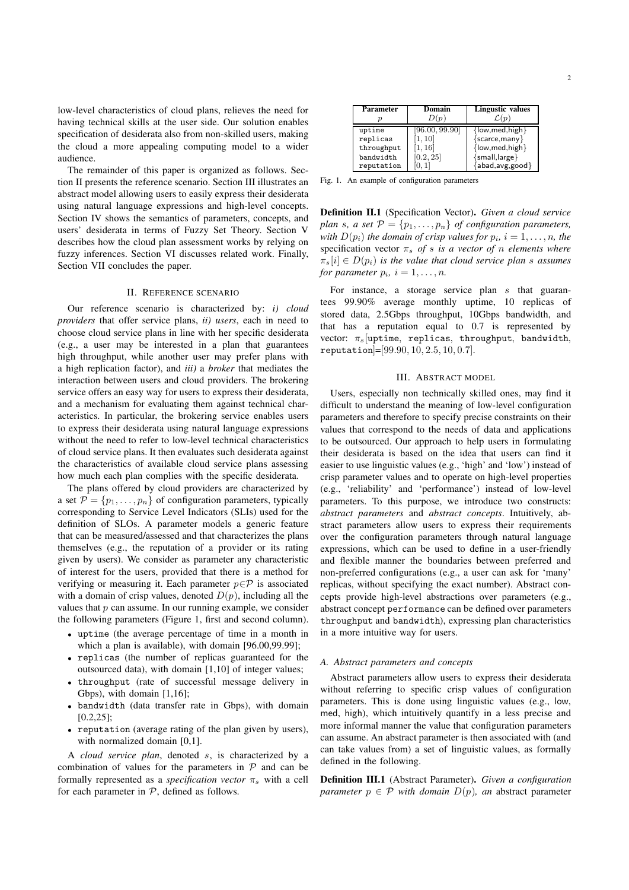low-level characteristics of cloud plans, relieves the need for having technical skills at the user side. Our solution enables specification of desiderata also from non-skilled users, making the cloud a more appealing computing model to a wider audience.

The remainder of this paper is organized as follows. Section II presents the reference scenario. Section III illustrates an abstract model allowing users to easily express their desiderata using natural language expressions and high-level concepts. Section IV shows the semantics of parameters, concepts, and users' desiderata in terms of Fuzzy Set Theory. Section V describes how the cloud plan assessment works by relying on fuzzy inferences. Section VI discusses related work. Finally, Section VII concludes the paper.

#### II. REFERENCE SCENARIO

Our reference scenario is characterized by: *i) cloud providers* that offer service plans, *ii) users*, each in need to choose cloud service plans in line with her specific desiderata (e.g., a user may be interested in a plan that guarantees high throughput, while another user may prefer plans with a high replication factor), and *iii)* a *broker* that mediates the interaction between users and cloud providers. The brokering service offers an easy way for users to express their desiderata, and a mechanism for evaluating them against technical characteristics. In particular, the brokering service enables users to express their desiderata using natural language expressions without the need to refer to low-level technical characteristics of cloud service plans. It then evaluates such desiderata against the characteristics of available cloud service plans assessing how much each plan complies with the specific desiderata.

The plans offered by cloud providers are characterized by a set  $\mathcal{P} = \{p_1, \ldots, p_n\}$  of configuration parameters, typically corresponding to Service Level Indicators (SLIs) used for the definition of SLOs. A parameter models a generic feature that can be measured/assessed and that characterizes the plans themselves (e.g., the reputation of a provider or its rating given by users). We consider as parameter any characteristic of interest for the users, provided that there is a method for verifying or measuring it. Each parameter  $p \in \mathcal{P}$  is associated with a domain of crisp values, denoted  $D(p)$ , including all the values that  $p$  can assume. In our running example, we consider the following parameters (Figure 1, first and second column).

- uptime (the average percentage of time in a month in which a plan is available), with domain [96.00,99.99];
- replicas (the number of replicas guaranteed for the outsourced data), with domain [1,10] of integer values;
- throughput (rate of successful message delivery in Gbps), with domain [1,16];
- bandwidth (data transfer rate in Gbps), with domain [0.2,25];
- reputation (average rating of the plan given by users), with normalized domain [0,1].

A *cloud service plan*, denoted s, is characterized by a combination of values for the parameters in  $P$  and can be formally represented as a *specification vector*  $\pi_s$  with a cell for each parameter in  $P$ , defined as follows.

| <b>Parameter</b> | Domain         | <b>Lingustic values</b>            |  |  |
|------------------|----------------|------------------------------------|--|--|
|                  | D(p)           | $\mathcal{L}(p)$                   |  |  |
| uptime           | [96.00, 99.90] | $\{low, med, high\}$               |  |  |
| replicas         | [1, 10]        | $\{ \text{scarce}, \text{many} \}$ |  |  |
| throughput       | [1, 16]        | $\{low, med, high\}$               |  |  |
| bandwidth        | [0.2, 25]      | ${small, large}$                   |  |  |
| reputation       |                | ${abad, avg, good}$                |  |  |

Fig. 1. An example of configuration parameters

Definition II.1 (Specification Vector). *Given a cloud service plan s*, *a set*  $P = \{p_1, \ldots, p_n\}$  *of configuration parameters, with*  $D(p_i)$  *the domain of crisp values for*  $p_i$ *, i* = 1*,...,n, the* specification vector  $\pi_s$  *of* s *is a vector of n elements where*  $\pi_s[i] \in D(p_i)$  *is the value that cloud service plan s assumes for parameter*  $p_i$ ,  $i = 1, \ldots, n$ *.* 

For instance, a storage service plan s that guarantees 99.90% average monthly uptime, 10 replicas of stored data, 2.5Gbps throughput, 10Gbps bandwidth, and that has a reputation equal to 0.7 is represented by vector:  $\pi_s$  [uptime, replicas, throughput, bandwidth, reputation]=[99.90, 10, 2.5, 10, 0.7].

# III. ABSTRACT MODEL

Users, especially non technically skilled ones, may find it difficult to understand the meaning of low-level configuration parameters and therefore to specify precise constraints on their values that correspond to the needs of data and applications to be outsourced. Our approach to help users in formulating their desiderata is based on the idea that users can find it easier to use linguistic values (e.g., 'high' and 'low') instead of crisp parameter values and to operate on high-level properties (e.g., 'reliability' and 'performance') instead of low-level parameters. To this purpose, we introduce two constructs: *abstract parameters* and *abstract concepts*. Intuitively, abstract parameters allow users to express their requirements over the configuration parameters through natural language expressions, which can be used to define in a user-friendly and flexible manner the boundaries between preferred and non-preferred configurations (e.g., a user can ask for 'many' replicas, without specifying the exact number). Abstract concepts provide high-level abstractions over parameters (e.g., abstract concept performance can be defined over parameters throughput and bandwidth), expressing plan characteristics in a more intuitive way for users.

## *A. Abstract parameters and concepts*

Abstract parameters allow users to express their desiderata without referring to specific crisp values of configuration parameters. This is done using linguistic values (e.g., low, med, high), which intuitively quantify in a less precise and more informal manner the value that configuration parameters can assume. An abstract parameter is then associated with (and can take values from) a set of linguistic values, as formally defined in the following.

Definition III.1 (Abstract Parameter). *Given a configuration parameter*  $p \in \mathcal{P}$  *with domain*  $D(p)$ *, an* abstract parameter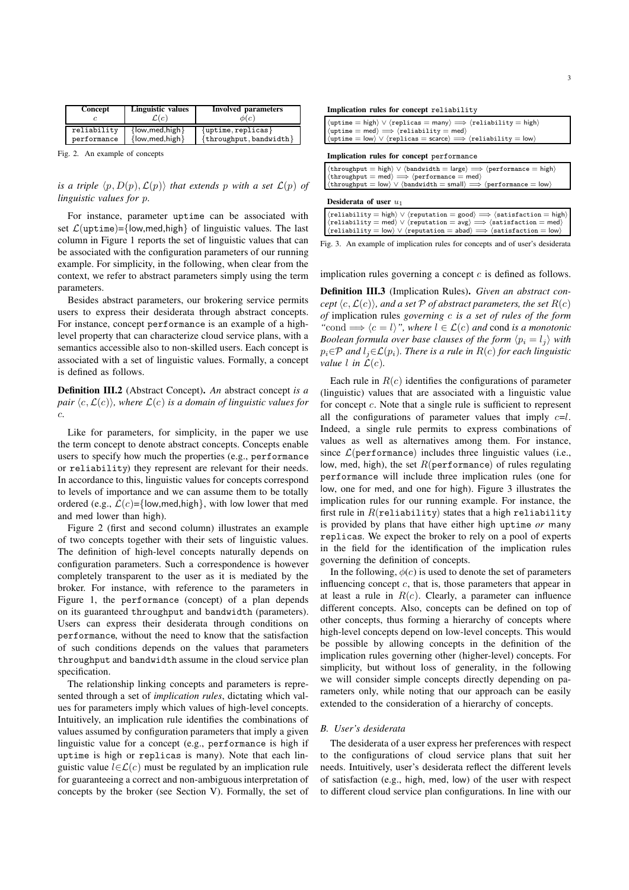| Linguistic values<br>Concept<br>C(c) |                      | <b>Involved</b> parameters<br>$\phi(c)$ |  |  |
|--------------------------------------|----------------------|-----------------------------------------|--|--|
| reliability                          | $\{low, med, high\}$ | $\{$ uptime, replicas $\}$              |  |  |
| performance                          | $\{low, med, high\}$ | $\{throughput, bandwidth\}$             |  |  |

Fig. 2. An example of concepts

*is a triple*  $\langle p, D(p), \mathcal{L}(p) \rangle$  *that extends* p *with a set*  $\mathcal{L}(p)$  *of linguistic values for* p*.*

For instance, parameter uptime can be associated with set  $\mathcal{L}$ (uptime)={low,med,high} of linguistic values. The last column in Figure 1 reports the set of linguistic values that can be associated with the configuration parameters of our running example. For simplicity, in the following, when clear from the context, we refer to abstract parameters simply using the term parameters.

Besides abstract parameters, our brokering service permits users to express their desiderata through abstract concepts. For instance, concept performance is an example of a highlevel property that can characterize cloud service plans, with a semantics accessible also to non-skilled users. Each concept is associated with a set of linguistic values. Formally, a concept is defined as follows.

Definition III.2 (Abstract Concept). *An* abstract concept *is a pair*  $\langle c, \mathcal{L}(c) \rangle$ *, where*  $\mathcal{L}(c)$  *is a domain of linguistic values for* c*.*

Like for parameters, for simplicity, in the paper we use the term concept to denote abstract concepts. Concepts enable users to specify how much the properties (e.g., performance or reliability) they represent are relevant for their needs. In accordance to this, linguistic values for concepts correspond to levels of importance and we can assume them to be totally ordered (e.g.,  $\mathcal{L}(c) = \{low, med, high\}$ , with low lower that med and med lower than high).

Figure 2 (first and second column) illustrates an example of two concepts together with their sets of linguistic values. The definition of high-level concepts naturally depends on configuration parameters. Such a correspondence is however completely transparent to the user as it is mediated by the broker. For instance, with reference to the parameters in Figure 1, the performance (concept) of a plan depends on its guaranteed throughput and bandwidth (parameters). Users can express their desiderata through conditions on performance, without the need to know that the satisfaction of such conditions depends on the values that parameters throughput and bandwidth assume in the cloud service plan specification.

The relationship linking concepts and parameters is represented through a set of *implication rules*, dictating which values for parameters imply which values of high-level concepts. Intuitively, an implication rule identifies the combinations of values assumed by configuration parameters that imply a given linguistic value for a concept (e.g., performance is high if uptime is high or replicas is many). Note that each linguistic value  $l \in \mathcal{L}(c)$  must be regulated by an implication rule for guaranteeing a correct and non-ambiguous interpretation of concepts by the broker (see Section V). Formally, the set of Implication rules for concept reliability

| $\langle$ uptime = high $\rangle \vee \langle$ replicas = many $\rangle \implies \langle$ reliability = high $\rangle$<br>$\langle$ uptime = med $\rangle \implies \langle$ reliability = med $\rangle$<br>$\langle$ uptime = low $\rangle \vee \langle$ replicas = scarce $\rangle \Longrightarrow \langle$ reliability = low $\rangle$                                           |  |  |  |
|------------------------------------------------------------------------------------------------------------------------------------------------------------------------------------------------------------------------------------------------------------------------------------------------------------------------------------------------------------------------------------|--|--|--|
| Implication rules for concept performance                                                                                                                                                                                                                                                                                                                                          |  |  |  |
| $\langle$ throughput = high $\rangle \vee \langle$ bandwidth = large $\rangle \Longrightarrow \langle$ performance = high $\rangle$<br>$\langle$ throughput = med $\rangle \Longrightarrow \langle$ performance = med $\rangle$<br>$\langle$ throughput = $\vert$ ow $\rangle \vee \langle$ bandwidth = small $\rangle \Longrightarrow \langle$ performance = $\vert$ ow $\rangle$ |  |  |  |

# Desiderata of user  $u_1$

| $\langle$ reliability = high $\rangle \vee \langle$ reputation = good $\rangle \Longrightarrow \langle$ satisfaction = high $\rangle$ |
|---------------------------------------------------------------------------------------------------------------------------------------|
| $\langle$ reliability = med $\rangle \vee \langle$ reputation = avg $\rangle \Longrightarrow \langle$ satisfaction = med $\rangle$    |
| $\langle$ reliability = low $\rangle \vee \langle$ reputation = abad $\rangle \Longrightarrow \langle$ satisfaction = low $\rangle$   |

Fig. 3. An example of implication rules for concepts and of user's desiderata

implication rules governing a concept  $c$  is defined as follows.

Definition III.3 (Implication Rules). *Given an abstract concept*  $\langle c, \mathcal{L}(c) \rangle$ *, and a set* P *of abstract parameters, the set*  $R(c)$ *of* implication rules *governing* c *is a set of rules of the form "*cond  $\implies \langle c = l \rangle$ ", where  $l \in \mathcal{L}(c)$  and cond *is a monotonic Boolean formula over base clauses of the form*  $\langle p_i = l_j \rangle$  *with*  $p_i \in \mathcal{P}$  *and*  $l_i \in \mathcal{L}(p_i)$ *. There is a rule in*  $R(c)$  *for each linguistic value l* in  $\mathcal{L}(c)$ *.* 

Each rule in  $R(c)$  identifies the configurations of parameter (linguistic) values that are associated with a linguistic value for concept c. Note that a single rule is sufficient to represent all the configurations of parameter values that imply  $c=l$ . Indeed, a single rule permits to express combinations of values as well as alternatives among them. For instance, since  $\mathcal{L}$ (performance) includes three linguistic values (i.e., low, med, high), the set  $R$ (performance) of rules regulating performance will include three implication rules (one for low, one for med, and one for high). Figure 3 illustrates the implication rules for our running example. For instance, the first rule in  $R(\text{reliability})$  states that a high reliability is provided by plans that have either high uptime *or* many replicas. We expect the broker to rely on a pool of experts in the field for the identification of the implication rules governing the definition of concepts.

In the following,  $\phi(c)$  is used to denote the set of parameters influencing concept  $c$ , that is, those parameters that appear in at least a rule in  $R(c)$ . Clearly, a parameter can influence different concepts. Also, concepts can be defined on top of other concepts, thus forming a hierarchy of concepts where high-level concepts depend on low-level concepts. This would be possible by allowing concepts in the definition of the implication rules governing other (higher-level) concepts. For simplicity, but without loss of generality, in the following we will consider simple concepts directly depending on parameters only, while noting that our approach can be easily extended to the consideration of a hierarchy of concepts.

## *B. User's desiderata*

The desiderata of a user express her preferences with respect to the configurations of cloud service plans that suit her needs. Intuitively, user's desiderata reflect the different levels of satisfaction (e.g., high, med, low) of the user with respect to different cloud service plan configurations. In line with our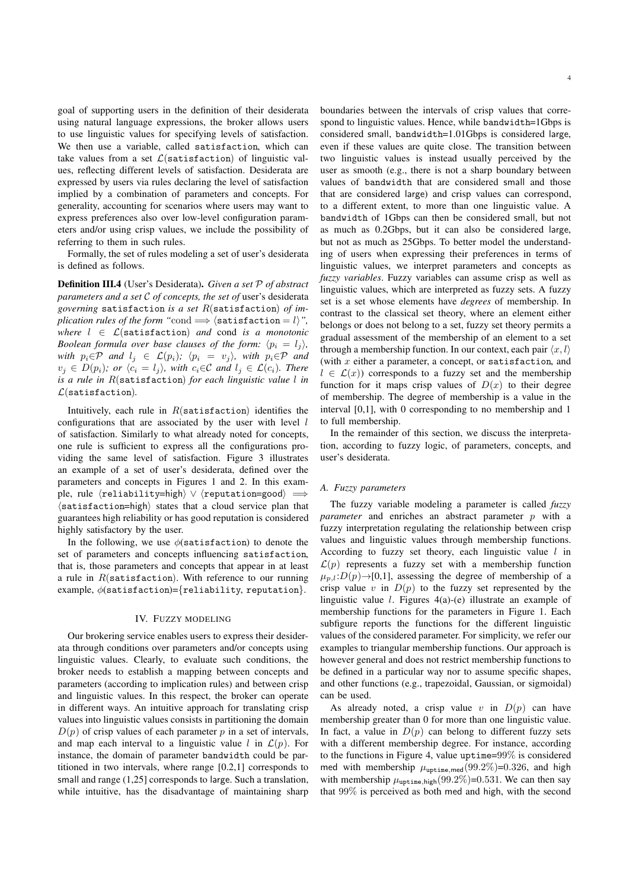goal of supporting users in the definition of their desiderata using natural language expressions, the broker allows users to use linguistic values for specifying levels of satisfaction. We then use a variable, called satisfaction, which can take values from a set  $\mathcal{L}(\texttt{satisation})$  of linguistic values, reflecting different levels of satisfaction. Desiderata are expressed by users via rules declaring the level of satisfaction implied by a combination of parameters and concepts. For generality, accounting for scenarios where users may want to express preferences also over low-level configuration parameters and/or using crisp values, we include the possibility of referring to them in such rules.

Formally, the set of rules modeling a set of user's desiderata is defined as follows.

Definition III.4 (User's Desiderata). *Given a set* P *of abstract parameters and a set* C *of concepts, the set of* user's desiderata *governing* satisfaction *is a set* R(satisfaction) *of implication rules of the form* "cond  $\implies$   $\langle$  satisfaction = *l* $\rangle$ ". *where*  $l \in \mathcal{L}$ (satisfaction) *and* cond *is a monotonic Boolean formula over base clauses of the form:*  $\langle p_i = l_i \rangle$ *, with*  $p_i \in \mathcal{P}$  *and*  $l_j \in \mathcal{L}(p_i)$ *;*  $\langle p_i = v_j \rangle$ *, with*  $p_i \in \mathcal{P}$  *and*  $v_j \in D(p_i)$ *; or*  $\langle c_i \rangle = l_j \rangle$ *, with*  $c_i \in \mathcal{C}$  *and*  $l_j \in \mathcal{L}(c_i)$ *. There is a rule in* R(satisfaction) *for each linguistic value* l *in* L(satisfaction)*.*

Intuitively, each rule in  $R$ (satisfaction) identifies the configurations that are associated by the user with level  $l$ of satisfaction. Similarly to what already noted for concepts, one rule is sufficient to express all the configurations providing the same level of satisfaction. Figure 3 illustrates an example of a set of user's desiderata, defined over the parameters and concepts in Figures 1 and 2. In this example, rule  $\langle$ reliability=high $\rangle \vee \langle$ reputation=good $\rangle \implies$ ⟨satisfaction=high⟩ states that a cloud service plan that guarantees high reliability or has good reputation is considered highly satisfactory by the user.

In the following, we use  $\phi$ (satisfaction) to denote the set of parameters and concepts influencing satisfaction, that is, those parameters and concepts that appear in at least a rule in  $R$ (satisfaction). With reference to our running example,  $\phi$ (satisfaction)={reliability, reputation}.

# IV. FUZZY MODELING

Our brokering service enables users to express their desiderata through conditions over parameters and/or concepts using linguistic values. Clearly, to evaluate such conditions, the broker needs to establish a mapping between concepts and parameters (according to implication rules) and between crisp and linguistic values. In this respect, the broker can operate in different ways. An intuitive approach for translating crisp values into linguistic values consists in partitioning the domain  $D(p)$  of crisp values of each parameter p in a set of intervals, and map each interval to a linguistic value l in  $\mathcal{L}(p)$ . For instance, the domain of parameter bandwidth could be partitioned in two intervals, where range [0.2,1] corresponds to small and range (1,25] corresponds to large. Such a translation, while intuitive, has the disadvantage of maintaining sharp

boundaries between the intervals of crisp values that correspond to linguistic values. Hence, while bandwidth=1Gbps is considered small, bandwidth=1.01Gbps is considered large, even if these values are quite close. The transition between two linguistic values is instead usually perceived by the user as smooth (e.g., there is not a sharp boundary between values of bandwidth that are considered small and those that are considered large) and crisp values can correspond, to a different extent, to more than one linguistic value. A bandwidth of 1Gbps can then be considered small, but not as much as 0.2Gbps, but it can also be considered large, but not as much as 25Gbps. To better model the understanding of users when expressing their preferences in terms of linguistic values, we interpret parameters and concepts as *fuzzy variables*. Fuzzy variables can assume crisp as well as linguistic values, which are interpreted as fuzzy sets. A fuzzy set is a set whose elements have *degrees* of membership. In contrast to the classical set theory, where an element either belongs or does not belong to a set, fuzzy set theory permits a gradual assessment of the membership of an element to a set through a membership function. In our context, each pair  $\langle x, l \rangle$ (with  $x$  either a parameter, a concept, or satisfaction, and  $l \in \mathcal{L}(x)$  corresponds to a fuzzy set and the membership function for it maps crisp values of  $D(x)$  to their degree of membership. The degree of membership is a value in the

In the remainder of this section, we discuss the interpretation, according to fuzzy logic, of parameters, concepts, and user's desiderata.

interval [0,1], with 0 corresponding to no membership and 1

#### *A. Fuzzy parameters*

to full membership.

The fuzzy variable modeling a parameter is called *fuzzy parameter* and enriches an abstract parameter p with a fuzzy interpretation regulating the relationship between crisp values and linguistic values through membership functions. According to fuzzy set theory, each linguistic value  $l$  in  $\mathcal{L}(p)$  represents a fuzzy set with a membership function  $\mu_{p,l}:D(p)\to[0,1]$ , assessing the degree of membership of a crisp value v in  $D(p)$  to the fuzzy set represented by the linguistic value l. Figures 4(a)-(e) illustrate an example of membership functions for the parameters in Figure 1. Each subfigure reports the functions for the different linguistic values of the considered parameter. For simplicity, we refer our examples to triangular membership functions. Our approach is however general and does not restrict membership functions to be defined in a particular way nor to assume specific shapes, and other functions (e.g., trapezoidal, Gaussian, or sigmoidal) can be used.

As already noted, a crisp value v in  $D(p)$  can have membership greater than 0 for more than one linguistic value. In fact, a value in  $D(p)$  can belong to different fuzzy sets with a different membership degree. For instance, according to the functions in Figure 4, value uptime=99% is considered med with membership  $\mu_{\text{ubtime,med}}(99.2\%)=0.326$ , and high with membership  $\mu_{\text{untime,high}}(99.2\%) = 0.531$ . We can then say that 99% is perceived as both med and high, with the second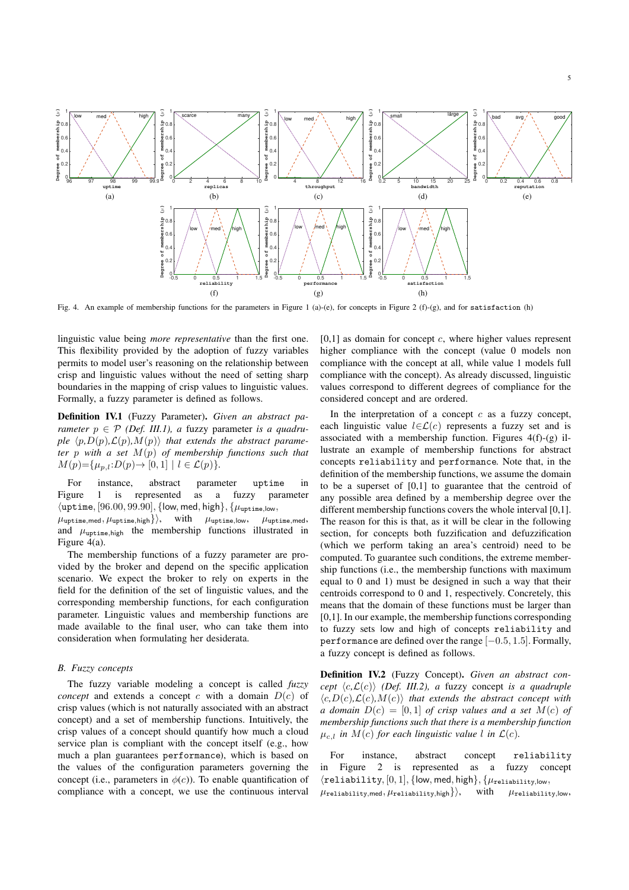

Fig. 4. An example of membership functions for the parameters in Figure 1 (a)-(e), for concepts in Figure 2 (f)-(g), and for satisfaction (h)

linguistic value being *more representative* than the first one. This flexibility provided by the adoption of fuzzy variables permits to model user's reasoning on the relationship between crisp and linguistic values without the need of setting sharp boundaries in the mapping of crisp values to linguistic values. Formally, a fuzzy parameter is defined as follows.

Definition IV.1 (Fuzzy Parameter). *Given an abstract parameter*  $p \in \mathcal{P}$  *(Def. III.1), a fuzzy parameter is a quadruple*  $\langle p, D(p), \mathcal{L}(p), M(p) \rangle$  *that extends the abstract parameter* p *with a set* M(p) *of membership functions such that*  $M(p) = {\mu_{p,l}: D(p) \to [0,1] \mid l \in \mathcal{L}(p)}.$ 

For instance, abstract parameter uptime in Figure 1 is represented as a fuzzy parameter  $\{\text{uptime}, [96.00, 99.90], \{\text{low}, \text{med}, \text{high}\}, \{\mu_{\text{uptime},\text{low}}, \}$  $\mu_{\text{uptime,med}}, \mu_{\text{uptime,high}}\}$ , with  $\mu_{\text{uptime,low}}, \mu_{\text{uptime,med}},$ and  $\mu_{\text{uotime,high}}$  the membership functions illustrated in Figure 4(a).

The membership functions of a fuzzy parameter are provided by the broker and depend on the specific application scenario. We expect the broker to rely on experts in the field for the definition of the set of linguistic values, and the corresponding membership functions, for each configuration parameter. Linguistic values and membership functions are made available to the final user, who can take them into consideration when formulating her desiderata.

# *B. Fuzzy concepts*

The fuzzy variable modeling a concept is called *fuzzy concept* and extends a concept c with a domain  $D(c)$  of crisp values (which is not naturally associated with an abstract concept) and a set of membership functions. Intuitively, the crisp values of a concept should quantify how much a cloud service plan is compliant with the concept itself (e.g., how much a plan guarantees performance), which is based on the values of the configuration parameters governing the concept (i.e., parameters in  $\phi(c)$ ). To enable quantification of compliance with a concept, we use the continuous interval  $[0,1]$  as domain for concept c, where higher values represent higher compliance with the concept (value 0 models non compliance with the concept at all, while value 1 models full compliance with the concept). As already discussed, linguistic values correspond to different degrees of compliance for the considered concept and are ordered.

In the interpretation of a concept  $c$  as a fuzzy concept, each linguistic value  $l \in \mathcal{L}(c)$  represents a fuzzy set and is associated with a membership function. Figures  $4(f)-(g)$  illustrate an example of membership functions for abstract concepts reliability and performance. Note that, in the definition of the membership functions, we assume the domain to be a superset of [0,1] to guarantee that the centroid of any possible area defined by a membership degree over the different membership functions covers the whole interval [0,1]. The reason for this is that, as it will be clear in the following section, for concepts both fuzzification and defuzzification (which we perform taking an area's centroid) need to be computed. To guarantee such conditions, the extreme membership functions (i.e., the membership functions with maximum equal to 0 and 1) must be designed in such a way that their centroids correspond to 0 and 1, respectively. Concretely, this means that the domain of these functions must be larger than [0,1]. In our example, the membership functions corresponding to fuzzy sets low and high of concepts reliability and performance are defined over the range [−0.5, 1.5]. Formally, a fuzzy concept is defined as follows.

Definition IV.2 (Fuzzy Concept). *Given an abstract concept*  $\langle c, \mathcal{L}(c) \rangle$  *(Def. III.2), a fuzzy concept is a quadruple*  $\langle c, D(c), L(c), M(c) \rangle$  *that extends the abstract concept with a domain*  $D(c) = [0, 1]$  *of crisp values and a set*  $\overrightarrow{M}(c)$  *of membership functions such that there is a membership function*  $\mu_{c,l}$  *in*  $M(c)$  *for each linguistic value l in*  $\mathcal{L}(c)$ *.* 

For instance, abstract concept reliability in Figure 2 is represented as a fuzzy concept  $\langle$ reliability,  $[0, 1]$ ,  $\{low, med, high\}, \{\mu_{\text{reliability,low}},$  $\{\mu_{\text{reliability,med}}, \mu_{\text{reliability,high}}\}$ , with  $\mu_{\text{reliability,low}}$ ,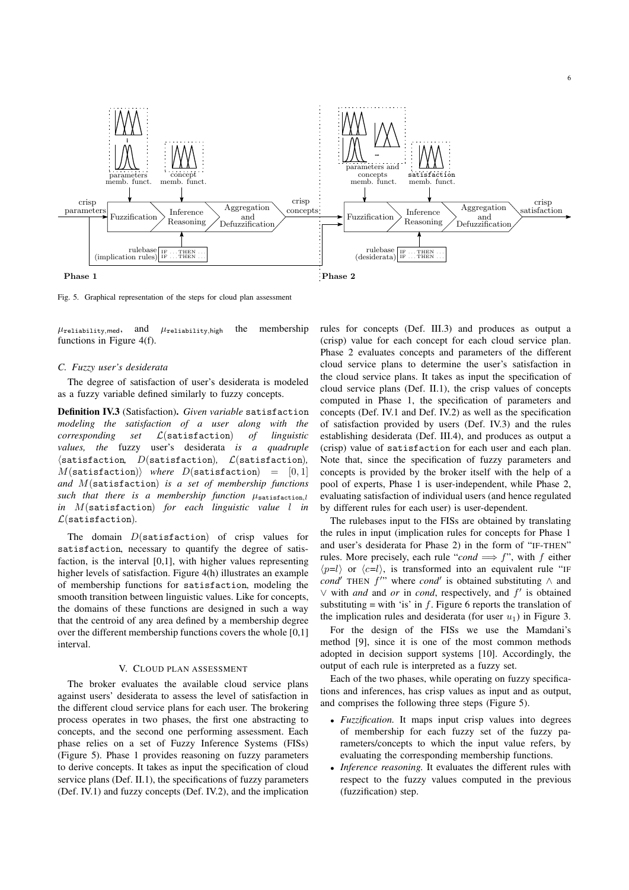

Fig. 5. Graphical representation of the steps for cloud plan assessment

 $\mu$ reliability, med, and  $\mu$ reliability, high the membership functions in Figure 4(f).

#### *C. Fuzzy user's desiderata*

The degree of satisfaction of user's desiderata is modeled as a fuzzy variable defined similarly to fuzzy concepts.

Definition IV.3 (Satisfaction). *Given variable* satisfaction *modeling the satisfaction of a user along with the corresponding set* L(satisfaction) *of linguistic values, the* fuzzy user's desiderata *is a quadruple* ⟨satisfaction*,* D(satisfaction)*,* L(satisfaction)*,*  $M(\text{satistaction})\rangle$  *where*  $D(\text{satistaction}) = [0, 1]$ *and* M(satisfaction) *is a set of membership functions*  $such$  that there is a membership function  $\mu_{\texttt{satistaction},l}$ *in* M(satisfaction) *for each linguistic value* l *in* L(satisfaction)*.*

The domain  $D$ (satisfaction) of crisp values for satisfaction, necessary to quantify the degree of satisfaction, is the interval [0,1], with higher values representing higher levels of satisfaction. Figure 4(h) illustrates an example of membership functions for satisfaction, modeling the smooth transition between linguistic values. Like for concepts, the domains of these functions are designed in such a way that the centroid of any area defined by a membership degree over the different membership functions covers the whole [0,1] interval.

# V. CLOUD PLAN ASSESSMENT

The broker evaluates the available cloud service plans against users' desiderata to assess the level of satisfaction in the different cloud service plans for each user. The brokering process operates in two phases, the first one abstracting to concepts, and the second one performing assessment. Each phase relies on a set of Fuzzy Inference Systems (FISs) (Figure 5). Phase 1 provides reasoning on fuzzy parameters to derive concepts. It takes as input the specification of cloud service plans (Def. II.1), the specifications of fuzzy parameters (Def. IV.1) and fuzzy concepts (Def. IV.2), and the implication rules for concepts (Def. III.3) and produces as output a (crisp) value for each concept for each cloud service plan. Phase 2 evaluates concepts and parameters of the different cloud service plans to determine the user's satisfaction in the cloud service plans. It takes as input the specification of cloud service plans (Def. II.1), the crisp values of concepts computed in Phase 1, the specification of parameters and concepts (Def. IV.1 and Def. IV.2) as well as the specification of satisfaction provided by users (Def. IV.3) and the rules establishing desiderata (Def. III.4), and produces as output a (crisp) value of satisfaction for each user and each plan. Note that, since the specification of fuzzy parameters and concepts is provided by the broker itself with the help of a pool of experts, Phase 1 is user-independent, while Phase 2, evaluating satisfaction of individual users (and hence regulated by different rules for each user) is user-dependent.

6

The rulebases input to the FISs are obtained by translating the rules in input (implication rules for concepts for Phase 1 and user's desiderata for Phase 2) in the form of "IF-THEN" rules. More precisely, each rule "*cond*  $\implies f$ ", with f either  $\langle p=l \rangle$  or  $\langle c=l \rangle$ , is transformed into an equivalent rule "IF  $cond'$  THEN  $f''$  where *cond'* is obtained substituting  $\wedge$  and ∨ with *and* and *or* in *cond*, respectively, and f′ is obtained substituting = with 'is' in  $f$ . Figure 6 reports the translation of the implication rules and desiderata (for user  $u_1$ ) in Figure 3.

For the design of the FISs we use the Mamdani's method [9], since it is one of the most common methods adopted in decision support systems [10]. Accordingly, the output of each rule is interpreted as a fuzzy set.

Each of the two phases, while operating on fuzzy specifications and inferences, has crisp values as input and as output, and comprises the following three steps (Figure 5).

- *Fuzzification.* It maps input crisp values into degrees of membership for each fuzzy set of the fuzzy parameters/concepts to which the input value refers, by evaluating the corresponding membership functions.
- *Inference reasoning.* It evaluates the different rules with respect to the fuzzy values computed in the previous (fuzzification) step.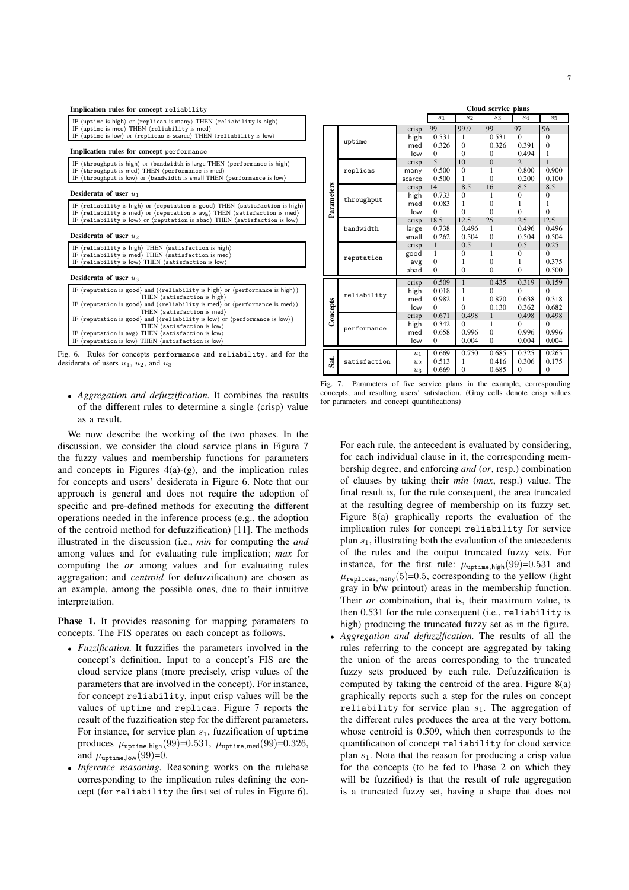| Implication rules for concept reliability                                                                                                                                                                                                  |  |  |  |
|--------------------------------------------------------------------------------------------------------------------------------------------------------------------------------------------------------------------------------------------|--|--|--|
| IF (uptime is high) or (replicas is many) THEN (reliability is high)<br>IF (uptime is med) THEN (reliability is med)<br>IF (uptime is low) or (replicas is scarce) THEN (reliability is low)                                               |  |  |  |
| Implication rules for concept performance                                                                                                                                                                                                  |  |  |  |
| IF (throughput is high) or (bandwidth is large THEN (performance is high)<br>IF (throughput is med) THEN (performance is med)<br>IF (throughput is low) or (bandwidth is small THEN (performance is low)                                   |  |  |  |
| Desiderata of user $u_1$                                                                                                                                                                                                                   |  |  |  |
| IF (reliability is high) or (reputation is good) THEN (satisfaction is high)<br>IF (reliability is med) or (reputation is $avg$ ) THEN (satisfaction is med)<br>IF (reliability is low) or (reputation is abad) THEN (satisfaction is low) |  |  |  |
| Desiderata of user $u_2$                                                                                                                                                                                                                   |  |  |  |
| IF (reliability is high) THEN (satisfaction is high)<br>IF (reliability is med) THEN (satisfaction is med)<br>IF (reliability is low) THEN (satisfaction is low)                                                                           |  |  |  |
| Desiderata of user $u_3$                                                                                                                                                                                                                   |  |  |  |
| IF (reputation is good) and ((reliability is high) or (performance is high))<br>THEN (satisfaction is high)                                                                                                                                |  |  |  |
| IF (reputation is good) and ((reliability is med) or (performance is med))<br>THEN (satisfaction is med)                                                                                                                                   |  |  |  |
| IF (reputation is good) and ((reliability is low) or (performance is low))<br>THEN (satisfaction is low)                                                                                                                                   |  |  |  |
| IF (reputation is avg) THEN (satisfaction is low)<br>IF (reputation is low) THEN (satisfaction is low)                                                                                                                                     |  |  |  |
| $\sim$ . Outer from concerning conformation and contactification and from the                                                                                                                                                              |  |  |  |

Fig. 6. Rules for concepts performance and reliability, and for the desiderata of users  $u_1$ ,  $u_2$ , and  $u_3$ 

• *Aggregation and defuzzification.* It combines the results of the different rules to determine a single (crisp) value as a result.

We now describe the working of the two phases. In the discussion, we consider the cloud service plans in Figure 7 the fuzzy values and membership functions for parameters and concepts in Figures  $4(a)-(g)$ , and the implication rules for concepts and users' desiderata in Figure 6. Note that our approach is general and does not require the adoption of specific and pre-defined methods for executing the different operations needed in the inference process (e.g., the adoption of the centroid method for defuzzification) [11]. The methods illustrated in the discussion (i.e., *min* for computing the *and* among values and for evaluating rule implication; *max* for computing the *or* among values and for evaluating rules aggregation; and *centroid* for defuzzification) are chosen as an example, among the possible ones, due to their intuitive interpretation.

Phase 1. It provides reasoning for mapping parameters to concepts. The FIS operates on each concept as follows.

- *Fuzzification.* It fuzzifies the parameters involved in the concept's definition. Input to a concept's FIS are the cloud service plans (more precisely, crisp values of the parameters that are involved in the concept). For instance, for concept reliability, input crisp values will be the values of uptime and replicas. Figure 7 reports the result of the fuzzification step for the different parameters. For instance, for service plan  $s_1$ , fuzzification of uptime produces  $\mu_{\text{uptime,high}}(99)=0.531$ ,  $\mu_{\text{uptime,med}}(99)=0.326$ , and  $\mu_{\text{uptime,low}}(99)=0$ .
- *Inference reasoning.* Reasoning works on the rulebase corresponding to the implication rules defining the concept (for reliability the first set of rules in Figure 6).

|            |              |                    | Cloud service plans |                |                |                |              |
|------------|--------------|--------------------|---------------------|----------------|----------------|----------------|--------------|
|            |              |                    | $s_1$               | $s_2$          | $s_3$          | $s_4$          | $s_5$        |
|            | uptime       | crisp              | 99                  | 99.9           | 99             | 97             | 96           |
|            |              | high               | 0.531               | 1              | 0.531          | $\Omega$       | $\mathbf{0}$ |
|            |              | med                | 0.326               | $\theta$       | 0.326          | 0.391          | $\mathbf{0}$ |
|            |              | low                | $\Omega$            | $\theta$       | $\Omega$       | 0.494          | 1            |
|            |              | crisp              | 5                   | 10             | $\overline{0}$ | $\mathfrak{D}$ | 1            |
|            | replicas     | many               | 0.500               | $\mathbf{0}$   | 1              | 0.800          | 0.900        |
|            |              | scarce             | 0.500               | 1              | $\theta$       | 0.200          | 0.100        |
| Parameters |              | crisp              | 14                  | 8.5            | 16             | 8.5            | 8.5          |
|            |              | high               | 0.733               | $\theta$       | 1              | $\theta$       | $\mathbf{0}$ |
|            | throughput   | med                | 0.083               | 1              | $\theta$       | 1              | 1            |
|            |              | low                | $\Omega$            | $\theta$       | $\Omega$       | $\Omega$       | $\theta$     |
|            |              | crisp              | 18.5                | 12.5           | 25             | 12.5           | 12.5         |
|            | bandwidth    | large              | 0.738               | 0.496          | 1              | 0.496          | 0.496        |
|            |              | small              | 0.262               | 0.504          | $\theta$       | 0.504          | 0.504        |
|            |              | crisp              | 1                   | 0.5            | $\mathbf{1}$   | 0.5            | 0.25         |
|            | reputation   | good               | 1                   | $\overline{0}$ | 1              | $\theta$       | $\Omega$     |
|            |              | avg                | $\mathbf{0}$        | 1              | $\theta$       | 1              | 0.375        |
|            |              | abad               | $\mathbf{0}$        | $\overline{0}$ | $\theta$       | $\mathbf{0}$   | 0.500        |
|            |              | crisp              | 0.509               | $\mathbf{1}$   | 0.435          | 0.319          | 0.159        |
|            | reliability  | high               | 0.018               | 1              | $\theta$       | $\Omega$       | $\theta$     |
|            |              | med                | 0.982               | 1              | 0.870          | 0.638          | 0.318        |
|            |              | low                | $\Omega$            | $\theta$       | 0.130          | 0.362          | 0.682        |
| Concepts   | performance  | crisp              | 0.671               | 0.498          | $\mathbf{1}$   | 0.498          | 0.498        |
|            |              | high               | 0.342               | $\Omega$       | 1              | $\Omega$       | $\Omega$     |
|            |              | med                | 0.658               | 0.996          | $\theta$       | 0.996          | 0.996        |
|            |              | low                | $\Omega$            | 0.004          | $\theta$       | 0.004          | 0.004        |
| Sat.       | satisfaction | $u_1$              | 0.669               | 0.750          | 0.685          | 0.325          | 0.265        |
|            |              | $u_2$              | 0.513               | 1              | 0.416          | 0.306          | 0.175        |
|            |              | $\boldsymbol{u}_3$ | 0.669               | $\theta$       | 0.685          | $\Omega$       | $\theta$     |

Fig. 7. Parameters of five service plans in the example, corresponding concepts, and resulting users' satisfaction. (Gray cells denote crisp values for parameters and concept quantifications)

For each rule, the antecedent is evaluated by considering, for each individual clause in it, the corresponding membership degree, and enforcing *and* (*or*, resp.) combination of clauses by taking their *min* (*max*, resp.) value. The final result is, for the rule consequent, the area truncated at the resulting degree of membership on its fuzzy set. Figure 8(a) graphically reports the evaluation of the implication rules for concept reliability for service plan  $s_1$ , illustrating both the evaluation of the antecedents of the rules and the output truncated fuzzy sets. For instance, for the first rule:  $\mu_{\text{uptime,high}}(99)=0.531$  and  $\mu_{\text{replicas,many}}(5)=0.5$ , corresponding to the yellow (light gray in b/w printout) areas in the membership function. Their *or* combination, that is, their maximum value, is then 0.531 for the rule consequent (i.e., reliability is high) producing the truncated fuzzy set as in the figure.

• *Aggregation and defuzzification.* The results of all the rules referring to the concept are aggregated by taking the union of the areas corresponding to the truncated fuzzy sets produced by each rule. Defuzzification is computed by taking the centroid of the area. Figure 8(a) graphically reports such a step for the rules on concept reliability for service plan  $s<sub>1</sub>$ . The aggregation of the different rules produces the area at the very bottom, whose centroid is 0.509, which then corresponds to the quantification of concept reliability for cloud service plan  $s<sub>1</sub>$ . Note that the reason for producing a crisp value for the concepts (to be fed to Phase 2 on which they will be fuzzified) is that the result of rule aggregation is a truncated fuzzy set, having a shape that does not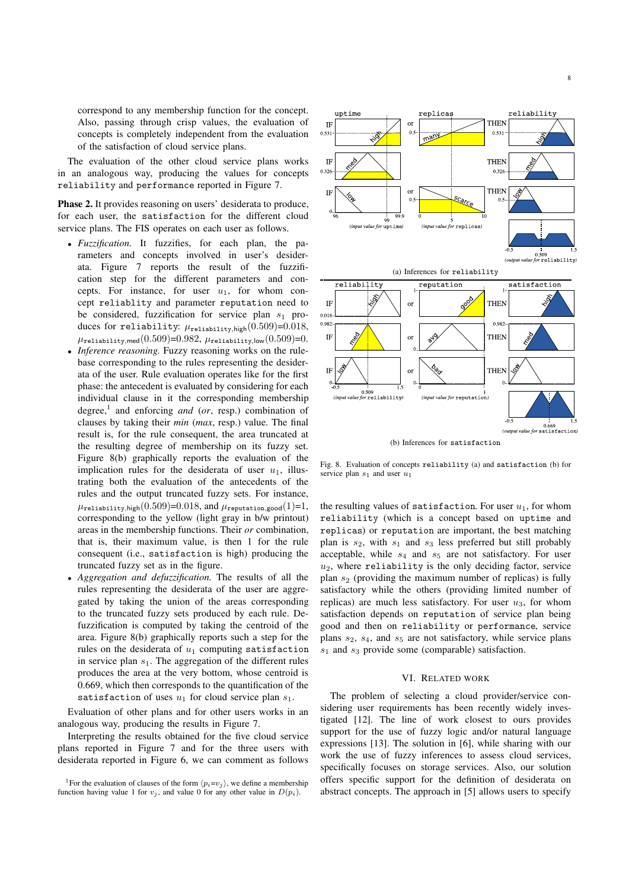correspond to any membership function for the concept. Also, passing through crisp values, the evaluation of concepts is completely independent from the evaluation of the satisfaction of cloud service plans.

The evaluation of the other cloud service plans works in an analogous way, producing the values for concepts reliability and performance reported in Figure 7.

Phase 2. It provides reasoning on users' desiderata to produce, for each user, the satisfaction for the different cloud service plans. The FIS operates on each user as follows.

- *Fuzzification.* It fuzzifies, for each plan, the parameters and concepts involved in user's desiderata. Figure 7 reports the result of the fuzzification step for the different parameters and concepts. For instance, for user  $u_1$ , for whom concept reliablity and parameter reputation need to be considered, fuzzification for service plan  $s_1$  produces for reliability:  $\mu_{\text{reliability, high}}(0.509)=0.018$ ,  $\mu_{\texttt{reliability,med}}(0.509)$ =0.982,  $\mu_{\texttt{reliability,low}}(0.509)$ =0.
- *Inference reasoning.* Fuzzy reasoning works on the rulebase corresponding to the rules representing the desiderata of the user. Rule evaluation operates like for the first phase: the antecedent is evaluated by considering for each individual clause in it the corresponding membership degree,<sup>1</sup> and enforcing *and* (*or*, resp.) combination of clauses by taking their *min* (*max*, resp.) value. The final result is, for the rule consequent, the area truncated at the resulting degree of membership on its fuzzy set. Figure 8(b) graphically reports the evaluation of the implication rules for the desiderata of user  $u_1$ , illustrating both the evaluation of the antecedents of the rules and the output truncated fuzzy sets. For instance,  $\mu_{\text{reliability,high}}(0.509)$ =0.018, and  $\mu_{\text{reputation,good}}(1)$ =1, corresponding to the yellow (light gray in b/w printout) areas in the membership functions. Their *or* combination, that is, their maximum value, is then 1 for the rule consequent (i.e., satisfaction is high) producing the truncated fuzzy set as in the figure.
- *Aggregation and defuzzification.* The results of all the rules representing the desiderata of the user are aggregated by taking the union of the areas corresponding to the truncated fuzzy sets produced by each rule. Defuzzification is computed by taking the centroid of the area. Figure 8(b) graphically reports such a step for the rules on the desiderata of  $u_1$  computing satisfaction in service plan  $s_1$ . The aggregation of the different rules produces the area at the very bottom, whose centroid is 0.669, which then corresponds to the quantification of the satisfaction of uses  $u_1$  for cloud service plan  $s_1$ .

Evaluation of other plans and for other users works in an analogous way, producing the results in Figure 7.

Interpreting the results obtained for the five cloud service plans reported in Figure 7 and for the three users with desiderata reported in Figure 6, we can comment as follows





(b) Inferences for satisfaction

Fig. 8. Evaluation of concepts reliability (a) and satisfaction (b) for service plan  $s_1$  and user  $u_1$ 

the resulting values of satisfaction. For user  $u_1$ , for whom reliability (which is a concept based on uptime and replicas) or reputation are important, the best matching plan is  $s_2$ , with  $s_1$  and  $s_3$  less preferred but still probably acceptable, while  $s_4$  and  $s_5$  are not satisfactory. For user  $u_2$ , where reliability is the only deciding factor, service plan  $s_2$  (providing the maximum number of replicas) is fully satisfactory while the others (providing limited number of replicas) are much less satisfactory. For user  $u_3$ , for whom satisfaction depends on reputation of service plan being good and then on reliability or performance, service plans  $s_2$ ,  $s_4$ , and  $s_5$  are not satisfactory, while service plans  $s_1$  and  $s_3$  provide some (comparable) satisfaction.

# VI. RELATED WORK

The problem of selecting a cloud provider/service considering user requirements has been recently widely investigated [12]. The line of work closest to ours provides support for the use of fuzzy logic and/or natural language expressions [13]. The solution in [6], while sharing with our work the use of fuzzy inferences to assess cloud services, specifically focuses on storage services. Also, our solution offers specific support for the definition of desiderata on abstract concepts. The approach in [5] allows users to specify

<sup>&</sup>lt;sup>1</sup>For the evaluation of clauses of the form  $\langle p_i = v_i \rangle$ , we define a membership function having value 1 for  $v_j$ , and value 0 for any other value in  $D(p_i)$ .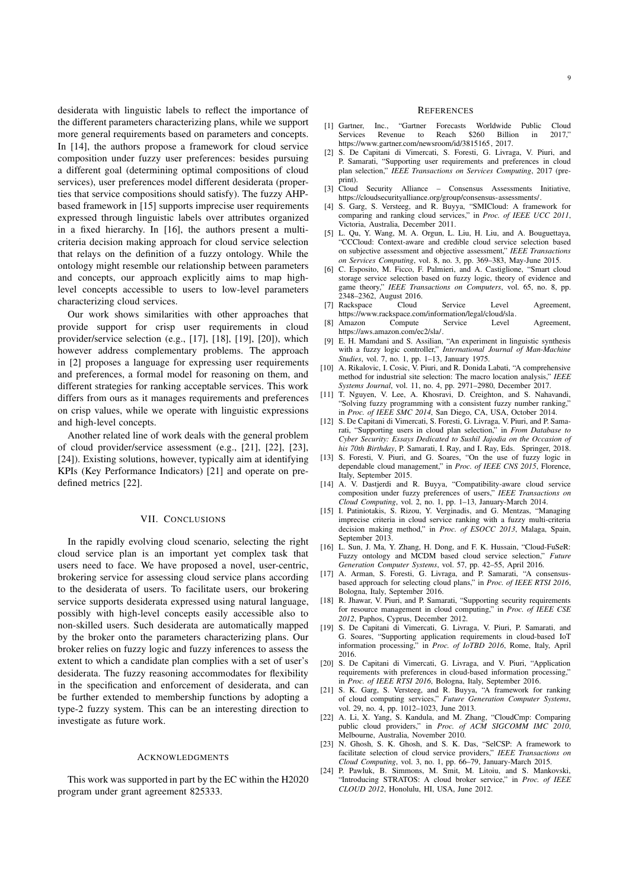desiderata with linguistic labels to reflect the importance of the different parameters characterizing plans, while we support more general requirements based on parameters and concepts. In [14], the authors propose a framework for cloud service composition under fuzzy user preferences: besides pursuing a different goal (determining optimal compositions of cloud services), user preferences model different desiderata (properties that service compositions should satisfy). The fuzzy AHPbased framework in [15] supports imprecise user requirements expressed through linguistic labels over attributes organized in a fixed hierarchy. In [16], the authors present a multicriteria decision making approach for cloud service selection that relays on the definition of a fuzzy ontology. While the ontology might resemble our relationship between parameters and concepts, our approach explicitly aims to map highlevel concepts accessible to users to low-level parameters characterizing cloud services.

Our work shows similarities with other approaches that provide support for crisp user requirements in cloud provider/service selection (e.g., [17], [18], [19], [20]), which however address complementary problems. The approach in [2] proposes a language for expressing user requirements and preferences, a formal model for reasoning on them, and different strategies for ranking acceptable services. This work differs from ours as it manages requirements and preferences on crisp values, while we operate with linguistic expressions and high-level concepts.

Another related line of work deals with the general problem of cloud provider/service assessment (e.g., [21], [22], [23], [24]). Existing solutions, however, typically aim at identifying KPIs (Key Performance Indicators) [21] and operate on predefined metrics [22].

# VII. CONCLUSIONS

In the rapidly evolving cloud scenario, selecting the right cloud service plan is an important yet complex task that users need to face. We have proposed a novel, user-centric, brokering service for assessing cloud service plans according to the desiderata of users. To facilitate users, our brokering service supports desiderata expressed using natural language, possibly with high-level concepts easily accessible also to non-skilled users. Such desiderata are automatically mapped by the broker onto the parameters characterizing plans. Our broker relies on fuzzy logic and fuzzy inferences to assess the extent to which a candidate plan complies with a set of user's desiderata. The fuzzy reasoning accommodates for flexibility in the specification and enforcement of desiderata, and can be further extended to membership functions by adopting a type-2 fuzzy system. This can be an interesting direction to investigate as future work.

# ACKNOWLEDGMENTS

This work was supported in part by the EC within the H2020 program under grant agreement 825333.

# **REFERENCES**

- [1] Gartner, Inc., "Gartner Forecasts Worldwide Public Cloud Services Revenue to Reach \$260 Billion in 2017," https://www.gartner.com/newsroom/id/3815165, 2017.
- [2] S. De Capitani di Vimercati, S. Foresti, G. Livraga, V. Piuri, and P. Samarati, "Supporting user requirements and preferences in cloud plan selection," *IEEE Transactions on Services Computing*, 2017 (preprint).<br>[3] Cloud
- Security Alliance Consensus Assessments Initiative, https://cloudsecurityalliance.org/group/consensus-assessments/.
- [4] S. Garg, S. Versteeg, and R. Buyya, "SMICloud: A framework for comparing and ranking cloud services," in *Proc. of IEEE UCC 2011*, Victoria, Australia, December 2011.
- [5] L. Qu, Y. Wang, M. A. Orgun, L. Liu, H. Liu, and A. Bouguettaya, "CCCloud: Context-aware and credible cloud service selection based on subjective assessment and objective assessment," *IEEE Transactions on Services Computing*, vol. 8, no. 3, pp. 369–383, May-June 2015.
- [6] C. Esposito, M. Ficco, F. Palmieri, and A. Castiglione, "Smart cloud storage service selection based on fuzzy logic, theory of evidence and game theory," *IEEE Transactions on Computers*, vol. 65, no. 8, pp. 2348–2362, August 2016.<br>Rackspace Cloud
- Rackspace Cloud Service Level Agreement https://www.rackspace.com/information/legal/cloud/sla.
- [8] Amazon Compute Service Level Agreement, https://aws.amazon.com/ec2/sla/.
- E. H. Mamdani and S. Assilian, "An experiment in linguistic synthesis with a fuzzy logic controller," *International Journal of Man-Machine Studies*, vol. 7, no. 1, pp. 1–13, January 1975.
- [10] A. Rikalovic, I. Cosic, V. Piuri, and R. Donida Labati, "A comprehensive method for industrial site selection: The macro location analysis," *IEEE Systems Journal*, vol. 11, no. 4, pp. 2971–2980, December 2017.
- [11] T. Nguyen, V. Lee, A. Khosravi, D. Creighton, and S. Nahavandi, "Solving fuzzy programming with a consistent fuzzy number ranking," in *Proc. of IEEE SMC 2014*, San Diego, CA, USA, October 2014.
- [12] S. De Capitani di Vimercati, S. Foresti, G. Livraga, V. Piuri, and P. Samarati, "Supporting users in cloud plan selection," in *From Database to Cyber Security: Essays Dedicated to Sushil Jajodia on the Occasion of his 70th Birthday*, P. Samarati, I. Ray, and I. Ray, Eds. Springer, 2018.
- [13] S. Foresti, V. Piuri, and G. Soares, "On the use of fuzzy logic in dependable cloud management," in *Proc. of IEEE CNS 2015*, Florence, Italy, September 2015.
- [14] A. V. Dastjerdi and R. Buyya, "Compatibility-aware cloud service composition under fuzzy preferences of users," *IEEE Transactions on Cloud Computing*, vol. 2, no. 1, pp. 1–13, January-March 2014.
- [15] I. Patiniotakis, S. Rizou, Y. Verginadis, and G. Mentzas, "Managing imprecise criteria in cloud service ranking with a fuzzy multi-criteria decision making method," in *Proc. of ESOCC 2013*, Malaga, Spain, September 2013.
- [16] L. Sun, J. Ma, Y. Zhang, H. Dong, and F. K. Hussain, "Cloud-FuSeR: Fuzzy ontology and MCDM based cloud service selection," *Future Generation Computer Systems*, vol. 57, pp. 42–55, April 2016.
- [17] A. Arman, S. Foresti, G. Livraga, and P. Samarati, "A consensusbased approach for selecting cloud plans," in *Proc. of IEEE RTSI 2016*, Bologna, Italy, September 2016.
- [18] R. Jhawar, V. Piuri, and P. Samarati, "Supporting security requirements for resource management in cloud computing," in *Proc. of IEEE CSE 2012*, Paphos, Cyprus, December 2012.
- [19] S. De Capitani di Vimercati, G. Livraga, V. Piuri, P. Samarati, and G. Soares, "Supporting application requirements in cloud-based IoT information processing," in *Proc. of IoTBD 2016*, Rome, Italy, April 2016.
- [20] S. De Capitani di Vimercati, G. Livraga, and V. Piuri, "Application requirements with preferences in cloud-based information processing," in *Proc. of IEEE RTSI 2016*, Bologna, Italy, September 2016.
- [21] S. K. Garg, S. Versteeg, and R. Buyya, "A framework for ranking of cloud computing services," *Future Generation Computer Systems*, vol. 29, no. 4, pp. 1012–1023, June 2013.
- [22] A. Li, X. Yang, S. Kandula, and M. Zhang, "CloudCmp: Comparing public cloud providers," in *Proc. of ACM SIGCOMM IMC 2010*, Melbourne, Australia, November 2010.
- [23] N. Ghosh, S. K. Ghosh, and S. K. Das, "SelCSP: A framework to facilitate selection of cloud service providers," *IEEE Transactions on Cloud Computing*, vol. 3, no. 1, pp. 66–79, January-March 2015.
- [24] P. Pawluk, B. Simmons, M. Smit, M. Litoiu, and S. Mankovski, "Introducing STRATOS: A cloud broker service," in *Proc. of IEEE CLOUD 2012*, Honolulu, HI, USA, June 2012.